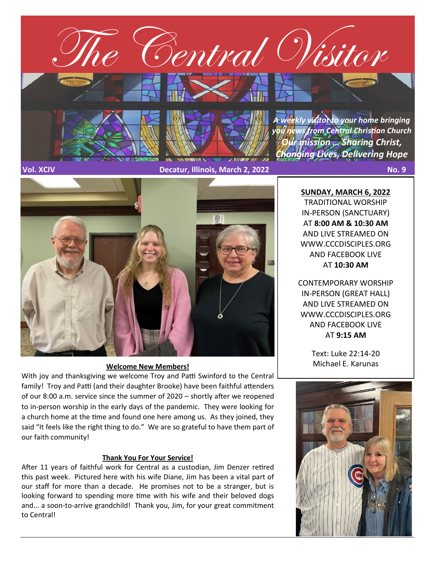

**Vol. XCIV Decatur, Illinois, March 2, 2022 No. 9**



#### **Welcome New Members!**

With joy and thanksgiving we welcome Troy and Patti Swinford to the Central family! Troy and Patti (and their daughter Brooke) have been faithful attenders of our 8:00 a.m. service since the summer of 2020 – shortly after we reopened to in-person worship in the early days of the pandemic. They were looking for a church home at the time and found one here among us. As they joined, they said "It feels like the right thing to do." We are so grateful to have them part of our faith community!

### **Thank You For Your Service!**

After 11 years of faithful work for Central as a custodian, Jim Denzer retired this past week. Pictured here with his wife Diane, Jim has been a vital part of our staff for more than a decade. He promises not to be a stranger, but is looking forward to spending more time with his wife and their beloved dogs and... a soon-to-arrive grandchild! Thank you, Jim, for your great commitment to Central!

**SUNDAY, MARCH 6, 2022** TRADITIONAL WORSHIP IN-PERSON (SANCTUARY) AT **8:00 AM & 10:30 AM**  AND LIVE STREAMED ON WWW.CCCDISCIPLES.ORG AND FACEBOOK LIVE AT **10:30 AM**

CONTEMPORARY WORSHIP IN-PERSON (GREAT HALL) AND LIVE STREAMED ON WWW.CCCDISCIPLES.ORG AND FACEBOOK LIVE AT **9:15 AM**

> Text: Luke 22:14-20 Michael E. Karunas

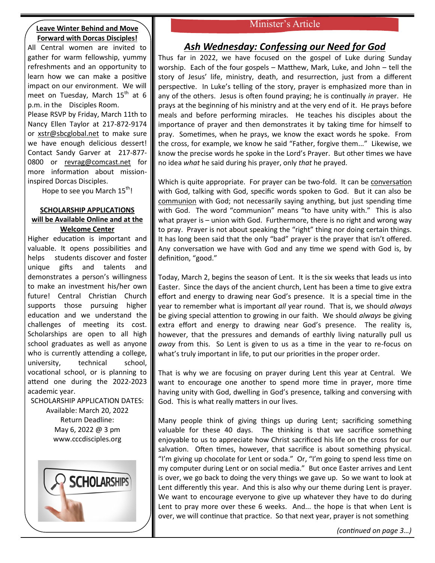#### **Leave Winter Behind and Move Forward with Dorcas Disciples!**

All Central women are invited to gather for warm fellowship, yummy refreshments and an opportunity to learn how we can make a positive impact on our environment. We will meet on Tuesday, March  $15<sup>th</sup>$  at 6 p.m. in the Disciples Room.

Please RSVP by Friday, March 11th to Nancy Ellen Taylor at 217-872-9174 or [xstr@sbcglobal.net](mailto:xstr@sbcglobal.net) to make sure we have enough delicious dessert! Contact Sandy Garver at 217-[877](mailto:217-877-0800%20or%20revrag@comcast.net)- [0800 or revrag@comcast.net](mailto:217-877-0800%20or%20revrag@comcast.net) for more information about missioninspired Dorcas Disciples.

Hope to see you March  $15<sup>th</sup>$ !

# **SCHOLARSHIP APPLICATIONS will be Available Online and at the**

#### **Welcome Center**

Higher education is important and valuable. It opens possibilities and helps students discover and foster unique gifts and talents and demonstrates a person's willingness to make an investment his/her own future! Central Christian Church supports those pursuing higher education and we understand the challenges of meeting its cost. Scholarships are open to all high school graduates as well as anyone who is currently attending a college, university, technical school, vocational school, or is planning to attend one during the 2022-2023 academic year.

SCHOLARSHIP APPLICATION DATES: Available: March 20, 2022 Return Deadline: May 6, 2022 @ 3 pm www.cccdisciples.org



## Minister's Article

# *Ash Wednesday: Confessing our Need for God*

Thus far in 2022, we have focused on the gospel of Luke during Sunday worship. Each of the four gospels – Matthew, Mark, Luke, and John – tell the story of Jesus' life, ministry, death, and resurrection, just from a different perspective. In Luke's telling of the story, prayer is emphasized more than in any of the others. Jesus is often found praying; he is continually *in* prayer. He prays at the beginning of his ministry and at the very end of it. He prays before meals and before performing miracles. He teaches his disciples about the importance of prayer and then demonstrates it by taking time for himself to pray. Sometimes, when he prays, we know the exact words he spoke. From the cross, for example, we know he said "Father, forgive them..." Likewise, we know the precise words he spoke in the Lord's Prayer. But other times we have no idea *what* he said during his prayer, only *that* he prayed.

Which is quite appropriate. For prayer can be two-fold. It can be conversation with God, talking with God, specific words spoken to God. But it can also be communion with God; not necessarily saying anything, but just spending time with God. The word "communion" means "to have unity with." This is also what prayer is – union with God. Furthermore, there is no right and wrong way to pray. Prayer is not about speaking the "right" thing nor doing certain things. It has long been said that the only "bad" prayer is the prayer that isn't offered. Any conversation we have with God and any time we spend with God is, by definition, "good."

Today, March 2, begins the season of Lent. It is the six weeks that leads us into Easter. Since the days of the ancient church, Lent has been a time to give extra effort and energy to drawing near God's presence. It is a special time in the year to remember what is important *all* year round. That is, we should *always* be giving special attention to growing in our faith. We should *always* be giving extra effort and energy to drawing near God's presence. The reality is, however, that the pressures and demands of earthly living naturally pull us *away* from this. So Lent is given to us as a time in the year to re-focus on what's truly important in life, to put our priorities in the proper order.

That is why we are focusing on prayer during Lent this year at Central. We want to encourage one another to spend more time in prayer, more time having unity with God, dwelling in God's presence, talking and conversing with God. This is what really matters in our lives.

Many people think of giving things up during Lent; sacrificing something valuable for these 40 days. The thinking is that we sacrifice something enjoyable to us to appreciate how Christ sacrificed his life on the cross for our salvation. Often times, however, that sacrifice is about something physical. "I'm giving up chocolate for Lent or soda." Or, "I'm going to spend less time on my computer during Lent or on social media." But once Easter arrives and Lent is over, we go back to doing the very things we gave up. So we want to look at Lent differently this year. And this is also why our theme during Lent is prayer. We want to encourage everyone to give up whatever they have to do during Lent to pray more over these 6 weeks. And... the hope is that when Lent is over, we will continue that practice. So that next year, prayer is not something

*(continued on page 3…)*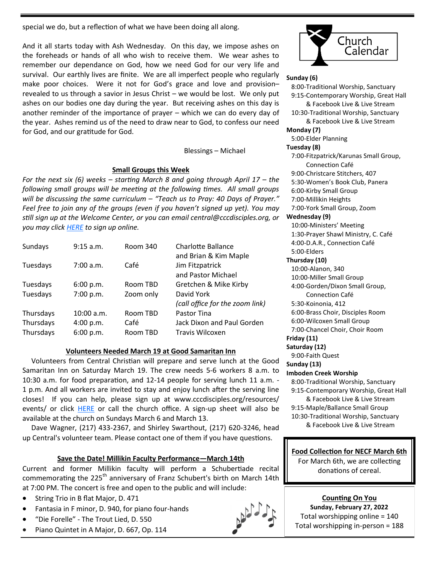special we do, but a reflection of what we have been doing all along.

And it all starts today with Ash Wednesday. On this day, we impose ashes on the foreheads or hands of all who wish to receive them. We wear ashes to remember our dependance on God, how we need God for our very life and survival. Our earthly lives are finite. We are all imperfect people who regularly make poor choices. Were it not for God's grace and love and provision– revealed to us through a savior in Jesus Christ – we would be lost. We only put ashes on our bodies one day during the year. But receiving ashes on this day is another reminder of the importance of prayer – which we can do every day of the year. Ashes remind us of the need to draw near to God, to confess our need for God, and our gratitude for God.

#### Blessings – Michael

### **Small Groups this Week**

*For the next six (6) weeks – starting March 8 and going through April 17 – the following small groups will be meeting at the following times. All small groups will be discussing the same curriculum – "Teach us to Pray: 40 Days of Prayer." Feel free to join any of the groups (even if you haven't signed up yet). You may still sign up at the Welcome Center, or you can email central@cccdisciples.org, or you may click [HERE](https://cccdisciples.shelbynextchms.com/external/form/df15e8c1-5448-47e5-a185-f4aef9f7f43b) to sign up online.*

| Sundays   | 9:15 a.m.  | Room 340  | Charlotte Ballance<br>and Brian & Kim Maple   |
|-----------|------------|-----------|-----------------------------------------------|
| Tuesdays  | 7:00 a.m.  | Café      | Jim Fitzpatrick<br>and Pastor Michael         |
| Tuesdays  | 6:00 p.m.  | Room TBD  | Gretchen & Mike Kirby                         |
| Tuesdays  | 7:00 p.m.  | Zoom only | David York<br>(call office for the zoom link) |
| Thursdays | 10:00 a.m. | Room TBD  | Pastor Tina                                   |
| Thursdays | 4:00 p.m.  | Café      | Jack Dixon and Paul Gorden                    |
| Thursdays | 6:00 p.m.  | Room TBD  | Travis Wilcoxen                               |

#### **Volunteers Needed March 19 at Good Samaritan Inn**

 Volunteers from Central Christian will prepare and serve lunch at the Good Samaritan Inn on Saturday March 19. The crew needs 5-6 workers 8 a.m. to 10:30 a.m. for food preparation, and 12-14 people for serving lunch 11 a.m. - 1 p.m. And all workers are invited to stay and enjoy lunch after the serving line closes! If you can help, please sign up at www.cccdisciples.org/resources/ events/ or click [HERE](https://cccdisciples.shelbynextchms.com/external/form/38e9100d-10b1-486f-9f99-11ac163a87a2) or call the church office. A sign-up sheet will also be available at the church on Sundays March 6 and March 13.

 Dave Wagner, (217) 433-2367, and Shirley Swarthout, (217) 620-3246, head up Central's volunteer team. Please contact one of them if you have questions.

### **Save the Date! Millikin Faculty Performance—March 14th**

Current and former Millikin faculty will perform a Schubertiade recital commemorating the 225<sup>th</sup> anniversary of Franz Schubert's birth on March 14th at 7:00 PM. The concert is free and open to the public and will include:

- String Trio in B flat Major, D. 471
- Fantasia in F minor, D. 940, for piano four-hands
- "Die Forelle" The Trout Lied, D. 550
- Piano Quintet in A Major, D. 667, Op. 114



### **Sunday (6)**

 8:00-Traditional Worship, Sanctuary 9:15-Contemporary Worship, Great Hall & Facebook Live & Live Stream 10:30-Traditional Worship, Sanctuary & Facebook Live & Live Stream **Monday (7)** 5:00-Elder Planning **Tuesday (8)** 7:00-Fitzpatrick/Karunas Small Group, Connection Café 9:00-Christcare Stitchers, 407 5:30-Women's Book Club, Panera 6:00-Kirby Small Group 7:00-Millikin Heights 7:00-York Small Group, Zoom **Wednesday (9)** 10:00-Ministers' Meeting 1:30-Prayer Shawl Ministry, C. Café 4:00-D.A.R., Connection Café 5:00-Elders **Thursday (10)** 10:00-Alanon, 340 10:00-Miller Small Group 4:00-Gorden/Dixon Small Group, Connection Café 5:30-Koinonia, 412 6:00-Brass Choir, Disciples Room 6:00-Wilcoxen Small Group 7:00-Chancel Choir, Choir Room **Friday (11)**

#### **Saturday (12)**

9:00-Faith Quest

#### **Sunday (13)**

**Imboden Creek Worship**

 8:00-Traditional Worship, Sanctuary 9:15-Contemporary Worship, Great Hall

 & Facebook Live & Live Stream 9:15-Maple/Ballance Small Group 10:30-Traditional Worship, Sanctuary & Facebook Live & Live Stream

### **Food Collection for NECF March 6th**

For March 6th, we are collecting donations of cereal.

**Counting On You Sunday, February 27, 2022** Total worshipping online = 140 Total worshipping in-person = 188